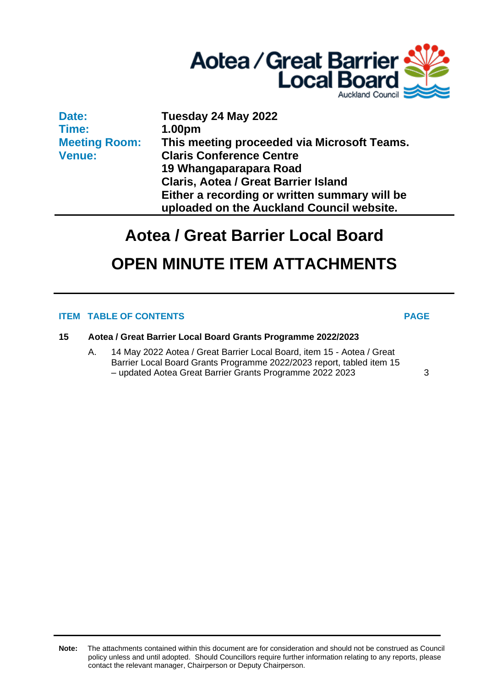

**Date: Time: Meeting Room: Venue:**

**Tuesday 24 May 2022 1.00pm This meeting proceeded via Microsoft Teams. Claris Conference Centre 19 Whangaparapara Road Claris, Aotea / Great Barrier Island Either a recording or written summary will be uploaded on the Auckland Council website.**

# **Aotea / Great Barrier Local Board**

# **OPEN MINUTE ITEM ATTACHMENTS**

#### **ITEM TABLE OF CONTENTS PAGE**

#### **15 Aotea / Great Barrier Local Board Grants Programme 2022/2023**

A. 14 May 2022 Aotea / Great Barrier Local Board, item 15 - Aotea / Great Barrier Local Board Grants Programme 2022/2023 report, tabled item 15 – updated Aotea Great Barrier Grants Programme 2022 2023 [3](#page-2-0)

**Note:** The attachments contained within this document are for consideration and should not be construed as Council policy unless and until adopted. Should Councillors require further information relating to any reports, please contact the relevant manager, Chairperson or Deputy Chairperson.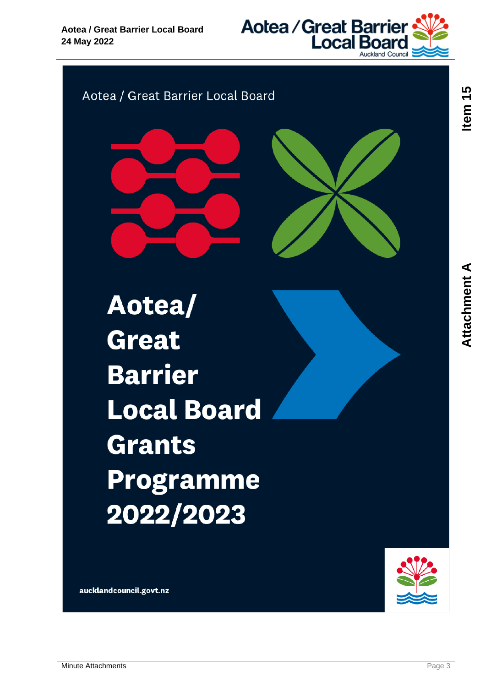

### <span id="page-2-0"></span>Aotea / Great Barrier Local Board





Aotea/ **Great Barrier Local Board Grants Programme** 2022/2023



aucklandcouncil.govt.nz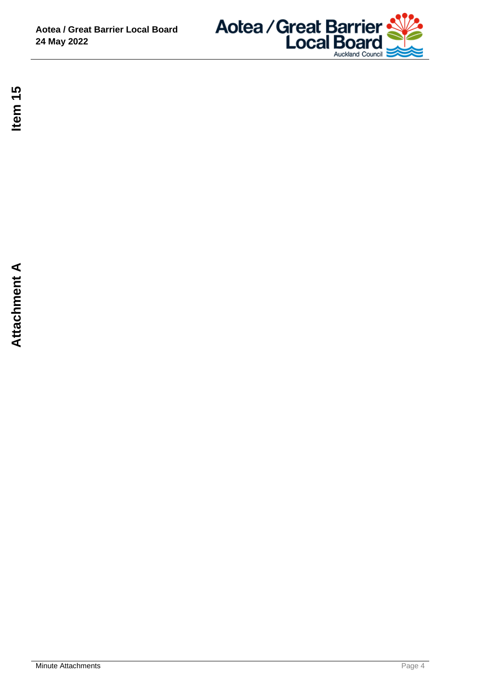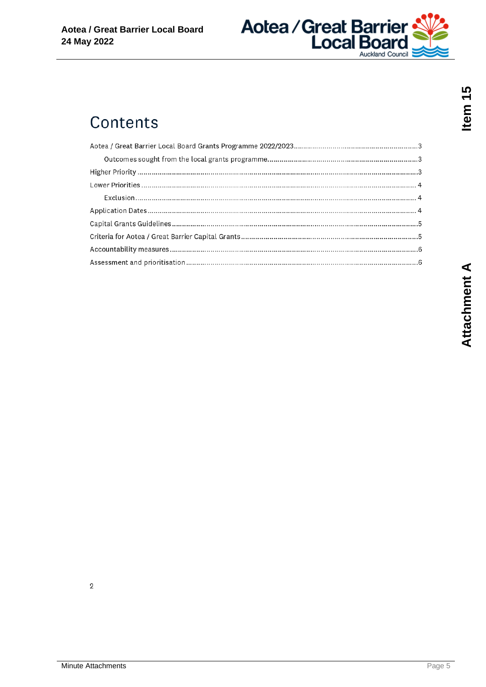

### Contents

Item<sub>15</sub>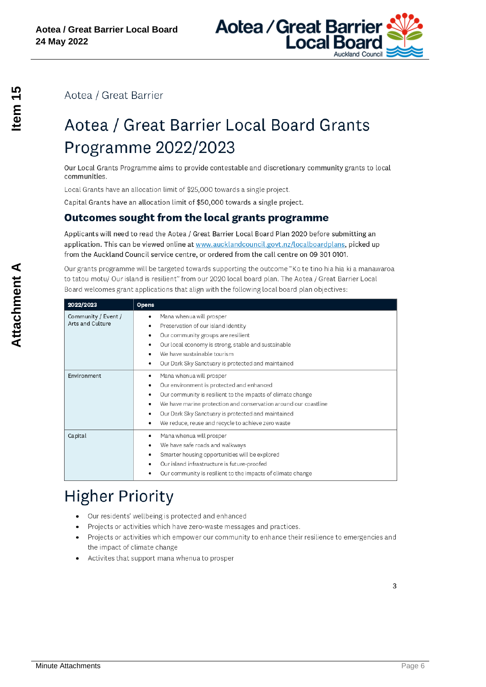

# Aotea / Great Barrier Local Board Grants Programme 2022/2023

Our Local Grants Programme aims to provide contestable and discretionary community grants to local communities.

Local Grants have an allocation limit of \$25,000 towards a single project.

Capital Grants have an allocation limit of \$50,000 towards a single project.

#### Outcomes sought from the local grants programme

Applicants will need to read the Aotea / Great Barrier Local Board Plan 2020 before submitting an application. This can be viewed online at www.aucklandcouncil.govt.nz/localboardplans, picked up from the Auckland Council service centre, or ordered from the call centre on 09 301 0101.

Our grants programme will be targeted towards supporting the outcome "Ko te tino hia hia ki a manawaroa to tatou motu/ Our island is resilient" from our 2020 local board plan. The Aotea / Great Barrier Local Board welcomes grant applications that align with the following local board plan objectives:

| 2022/2023                               | <b>Opens</b>                                                         |
|-----------------------------------------|----------------------------------------------------------------------|
| Community / Event /<br>Arts and Culture | Mana whenua will prosper<br>٠                                        |
|                                         | Preservation of our island identity                                  |
|                                         | Our community groups are resilient<br>٠                              |
|                                         | Our local economy is strong, stable and sustainable<br>٠             |
|                                         | We have sustainable tourism                                          |
|                                         | Our Dark Sky Sanctuary is protected and maintained                   |
| Environment                             | Mana whenua will prosper<br>٠                                        |
|                                         | Our environment is protected and enhanced                            |
|                                         | Our community is resilient to the impacts of climate change          |
|                                         | We have marine protection and conservation around our coastline<br>٠ |
|                                         | Our Dark Sky Sanctuary is protected and maintained<br>٠              |
|                                         | We reduce, reuse and recycle to achieve zero waste                   |
| Capital                                 | Mana whenua will prosper<br>٠                                        |
|                                         | We have safe roads and walkways<br>٠                                 |
|                                         | Smarter housing opportunities will be explored<br>٠                  |
|                                         | Our island infrastructure is future-proofed                          |
|                                         | Our community is resilient to the impacts of climate change          |

## **Higher Priority**

- Our residents' wellbeing is protected and enhanced  $\bullet$
- Projects or activities which have zero-waste messages and practices.
- Projects or activities which empower our community to enhance their resilience to emergencies and the impact of climate change
- Activites that support mana whenua to prosper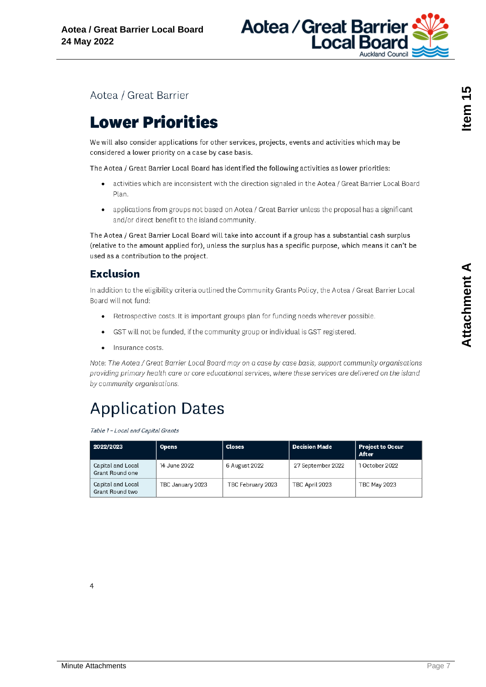

### **Lower Priorities**

We will also consider applications for other services, projects, events and activities which may be considered a lower priority on a case by case basis.

The Aotea / Great Barrier Local Board has identified the following activities as lower priorities:

- activities which are inconsistent with the direction signaled in the Aotea / Great Barrier Local Board Plan.
- applications from groups not based on Aotea / Great Barrier unless the proposal has a significant and/or direct benefit to the island community.

The Aotea / Great Barrier Local Board will take into account if a group has a substantial cash surplus (relative to the amount applied for), unless the surplus has a specific purpose, which means it can't be used as a contribution to the project.

### **Exclusion**

In addition to the eligibility criteria outlined the Community Grants Policy, the Aotea / Great Barrier Local Board will not fund:

- Retrospective costs. It is important groups plan for funding needs wherever possible.
- GST will not be funded, if the community group or individual is GST registered.
- Insurance costs.

Note: The Aotea / Great Barrier Local Board may on a case by case basis, support community organisations providing primary health care or core educational services, where these services are delivered on the island by community organisations.

# **Application Dates**

Table 1 - Local and Capital Grants

| 2022/2023                                   | <b>Opens</b>     | <b>Closes</b>     | <b>Decision Made</b> | Project to Occur<br>After |
|---------------------------------------------|------------------|-------------------|----------------------|---------------------------|
| Capital and Local<br>Grant Round one        | 14 June 2022     | 6 August 2022     | 27 September 2022    | 1 October 2022            |
| Capital and Local<br><b>Grant Round two</b> | TBC January 2023 | TBC February 2023 | TBC April 2023       | TBC May 2023              |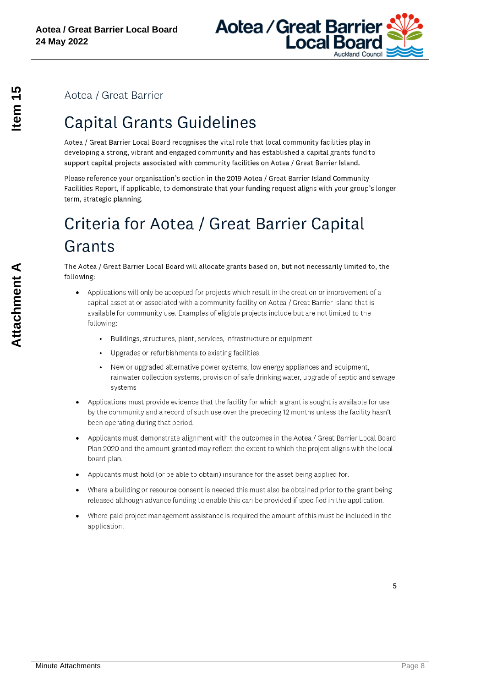

# **Capital Grants Guidelines**

Aotea / Great Barrier Local Board recognises the vital role that local community facilities play in developing a strong, vibrant and engaged community and has established a capital grants fund to support capital projects associated with community facilities on Aotea / Great Barrier Island.

Please reference your organisation's section in the 2019 Aotea / Great Barrier Island Community Facilities Report, if applicable, to demonstrate that your funding request aligns with your group's longer term, strategic planning.

# Criteria for Aotea / Great Barrier Capital Grants

The Aotea / Great Barrier Local Board will allocate grants based on, but not necessarily limited to, the following:

- Applications will only be accepted for projects which result in the creation or improvement of a capital asset at or associated with a community facility on Aotea / Great Barrier Island that is available for community use. Examples of eligible projects include but are not limited to the following:
	- Buildings, structures, plant, services, infrastructure or equipment
	- Upgrades or refurbishments to existing facilities
	- New or upgraded alternative power systems, low energy appliances and equipment, rainwater collection systems, provision of safe drinking water, upgrade of septic and sewage systems
- Applications must provide evidence that the facility for which a grant is sought is available for use by the community and a record of such use over the preceding 12 months unless the facility hasn't been operating during that period.
- Applicants must demonstrate alignment with the outcomes in the Aotea / Great Barrier Local Board Plan 2020 and the amount granted may reflect the extent to which the project aligns with the local board plan.
- Applicants must hold (or be able to obtain) insurance for the asset being applied for.
- Where a building or resource consent is needed this must also be obtained prior to the grant being released although advance funding to enable this can be provided if specified in the application.
- Where paid project management assistance is required the amount of this must be included in the application.

Minute Attachments

5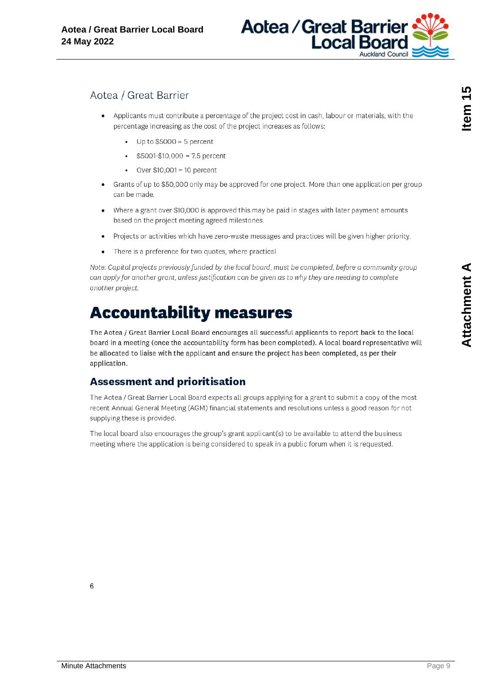

- Applicants must contribute a percentage of the project cost in cash, labour or materials, with the  $\bullet$ percentage increasing as the cost of the project increases as follows:
	- Up to  $$5000 = 5$  percent
	- \$5001-\$10,000 = 7.5 percent
	- Over  $$10,001 = 10$  percent
- Grants of up to \$50,000 only may be approved for one project. More than one application per group can be made.
- Where a grant over \$10,000 is approved this may be paid in stages with later payment amounts based on the project meeting agreed milestones.
- Projects or activities which have zero-waste messages and practices will be given higher priority.
- There is a preference for two quotes, where practical

Note: Capital projects previously funded by the local board, must be completed, before a community group can apply for another grant, unless justification can be given as to why they are needing to complete another project.

# **Accountability measures**

The Aotea / Great Barrier Local Board encourages all successful applicants to report back to the local board in a meeting (once the accountability form has been completed). A local board representative will be allocated to liaise with the applicant and ensure the project has been completed, as per their application.

### **Assessment and prioritisation**

The Aotea / Great Barrier Local Board expects all groups applying for a grant to submit a copy of the most recent Annual General Meeting (AGM) financial statements and resolutions unless a good reason for not supplying these is provided.

The local board also encourages the group's grant applicant(s) to be available to attend the business meeting where the application is being considered to speak in a public forum when it is requested.